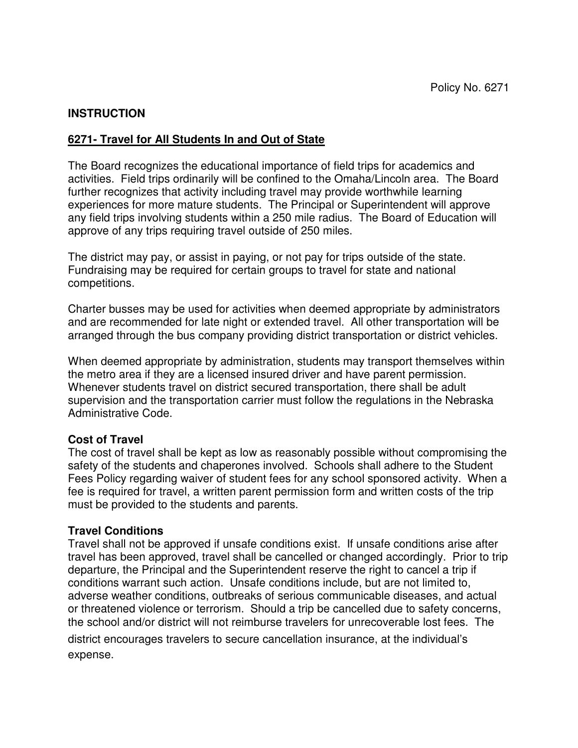#### **INSTRUCTION**

#### **6271- Travel for All Students In and Out of State**

The Board recognizes the educational importance of field trips for academics and activities. Field trips ordinarily will be confined to the Omaha/Lincoln area. The Board further recognizes that activity including travel may provide worthwhile learning experiences for more mature students. The Principal or Superintendent will approve any field trips involving students within a 250 mile radius. The Board of Education will approve of any trips requiring travel outside of 250 miles.

The district may pay, or assist in paying, or not pay for trips outside of the state. Fundraising may be required for certain groups to travel for state and national competitions.

Charter busses may be used for activities when deemed appropriate by administrators and are recommended for late night or extended travel. All other transportation will be arranged through the bus company providing district transportation or district vehicles.

When deemed appropriate by administration, students may transport themselves within the metro area if they are a licensed insured driver and have parent permission. Whenever students travel on district secured transportation, there shall be adult supervision and the transportation carrier must follow the regulations in the Nebraska Administrative Code.

#### **Cost of Travel**

The cost of travel shall be kept as low as reasonably possible without compromising the safety of the students and chaperones involved. Schools shall adhere to the Student Fees Policy regarding waiver of student fees for any school sponsored activity. When a fee is required for travel, a written parent permission form and written costs of the trip must be provided to the students and parents.

#### **Travel Conditions**

Travel shall not be approved if unsafe conditions exist. If unsafe conditions arise after travel has been approved, travel shall be cancelled or changed accordingly. Prior to trip departure, the Principal and the Superintendent reserve the right to cancel a trip if conditions warrant such action. Unsafe conditions include, but are not limited to, adverse weather conditions, outbreaks of serious communicable diseases, and actual or threatened violence or terrorism. Should a trip be cancelled due to safety concerns, the school and/or district will not reimburse travelers for unrecoverable lost fees. The

district encourages travelers to secure cancellation insurance, at the individual's expense.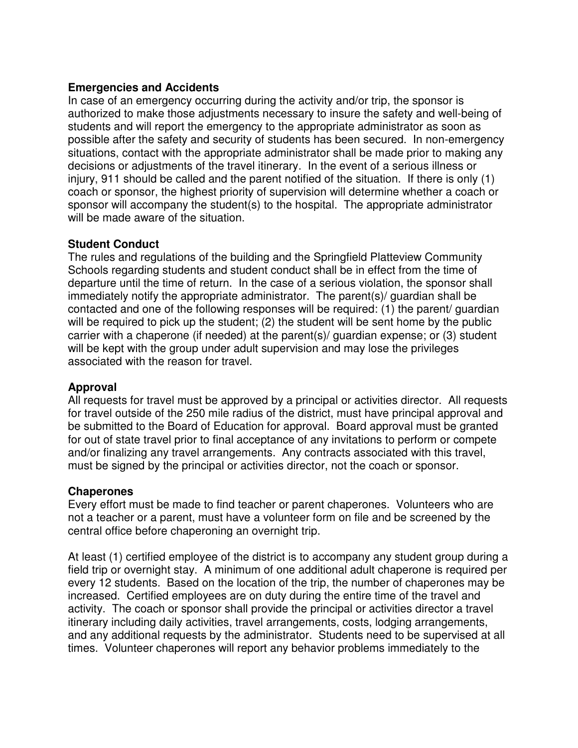#### **Emergencies and Accidents**

In case of an emergency occurring during the activity and/or trip, the sponsor is authorized to make those adjustments necessary to insure the safety and well-being of students and will report the emergency to the appropriate administrator as soon as possible after the safety and security of students has been secured. In non-emergency situations, contact with the appropriate administrator shall be made prior to making any decisions or adjustments of the travel itinerary. In the event of a serious illness or injury, 911 should be called and the parent notified of the situation. If there is only (1) coach or sponsor, the highest priority of supervision will determine whether a coach or sponsor will accompany the student(s) to the hospital. The appropriate administrator will be made aware of the situation.

#### **Student Conduct**

The rules and regulations of the building and the Springfield Platteview Community Schools regarding students and student conduct shall be in effect from the time of departure until the time of return. In the case of a serious violation, the sponsor shall immediately notify the appropriate administrator. The parent(s)/ guardian shall be contacted and one of the following responses will be required: (1) the parent/ guardian will be required to pick up the student; (2) the student will be sent home by the public carrier with a chaperone (if needed) at the parent(s)/ guardian expense; or (3) student will be kept with the group under adult supervision and may lose the privileges associated with the reason for travel.

#### **Approval**

All requests for travel must be approved by a principal or activities director. All requests for travel outside of the 250 mile radius of the district, must have principal approval and be submitted to the Board of Education for approval. Board approval must be granted for out of state travel prior to final acceptance of any invitations to perform or compete and/or finalizing any travel arrangements. Any contracts associated with this travel, must be signed by the principal or activities director, not the coach or sponsor.

#### **Chaperones**

Every effort must be made to find teacher or parent chaperones. Volunteers who are not a teacher or a parent, must have a volunteer form on file and be screened by the central office before chaperoning an overnight trip.

At least (1) certified employee of the district is to accompany any student group during a field trip or overnight stay. A minimum of one additional adult chaperone is required per every 12 students. Based on the location of the trip, the number of chaperones may be increased. Certified employees are on duty during the entire time of the travel and activity. The coach or sponsor shall provide the principal or activities director a travel itinerary including daily activities, travel arrangements, costs, lodging arrangements, and any additional requests by the administrator. Students need to be supervised at all times. Volunteer chaperones will report any behavior problems immediately to the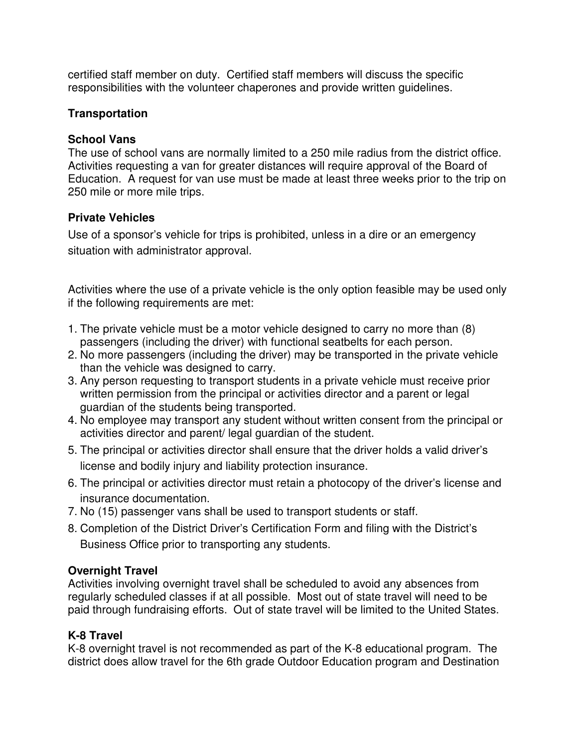certified staff member on duty. Certified staff members will discuss the specific responsibilities with the volunteer chaperones and provide written guidelines.

## **Transportation**

## **School Vans**

The use of school vans are normally limited to a 250 mile radius from the district office. Activities requesting a van for greater distances will require approval of the Board of Education. A request for van use must be made at least three weeks prior to the trip on 250 mile or more mile trips.

# **Private Vehicles**

Use of a sponsor's vehicle for trips is prohibited, unless in a dire or an emergency situation with administrator approval.

Activities where the use of a private vehicle is the only option feasible may be used only if the following requirements are met:

- 1. The private vehicle must be a motor vehicle designed to carry no more than (8) passengers (including the driver) with functional seatbelts for each person.
- 2. No more passengers (including the driver) may be transported in the private vehicle than the vehicle was designed to carry.
- 3. Any person requesting to transport students in a private vehicle must receive prior written permission from the principal or activities director and a parent or legal guardian of the students being transported.
- 4. No employee may transport any student without written consent from the principal or activities director and parent/ legal guardian of the student.
- 5. The principal or activities director shall ensure that the driver holds a valid driver's license and bodily injury and liability protection insurance.
- 6. The principal or activities director must retain a photocopy of the driver's license and insurance documentation.
- 7. No (15) passenger vans shall be used to transport students or staff.
- 8. Completion of the District Driver's Certification Form and filing with the District's Business Office prior to transporting any students.

# **Overnight Travel**

Activities involving overnight travel shall be scheduled to avoid any absences from regularly scheduled classes if at all possible. Most out of state travel will need to be paid through fundraising efforts. Out of state travel will be limited to the United States.

# **K-8 Travel**

K-8 overnight travel is not recommended as part of the K-8 educational program. The district does allow travel for the 6th grade Outdoor Education program and Destination